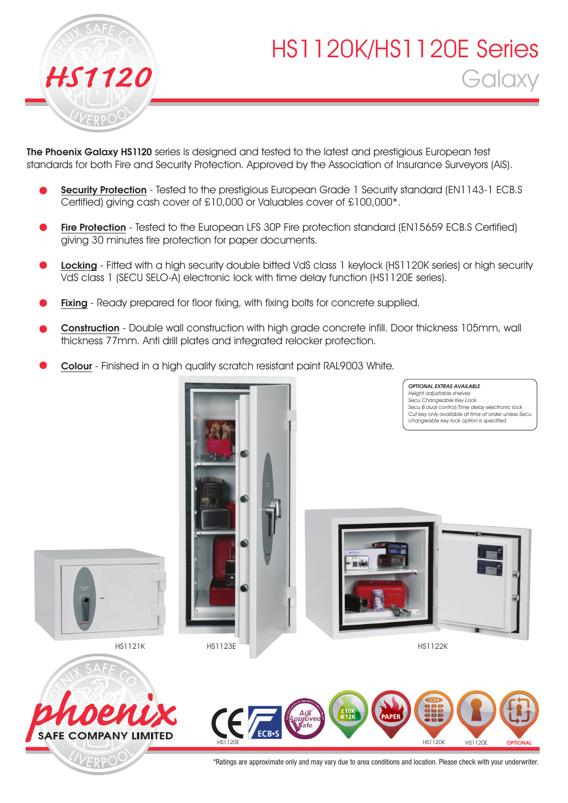

# HS1120K/HS1120E Series *HS1120* Galaxy

OPTIONAL EXTRAS AVAILABLE

The Phoenix Galaxy HS1120 series is designed and tested to the latest and prestigious European test standards for both Fire and Security Protection. Approved by the Association of Insurance Surveyors (AiS).

- Security Protection Tested to the prestigious European Grade 1 Security standard (EN1143-1 ECB.S) Certified) giving cash cover of £10,000 or Valuables cover of £100,000\*.
- Fire Protection Tested to the European LFS 30P Fire protection standard (EN15659 ECB.S Certified) giving 30 minutes fire protection for paper documents.
- Locking Fitted with a high security double bitted VdS class 1 keylock (HS1120K series) or high security VdS class 1 (SECU SELO-A) electronic lock with time delay function (HS1120E series).
- Fixing Ready prepared for floor fixing, with fixing bolts for concrete supplied.
- Construction Double wall construction with high grade concrete infill. Door thickness 105mm, wall thickness 77mm. Anti drill plates and integrated relocker protection.
- Colour Finished in a high quality scratch resistant paint RAL9003 White.





**SAFE COMPANY LIMITED** 

VERPO



\*Ratings are approximate only and may vary due to area conditions and location. Please check with your underwriter.